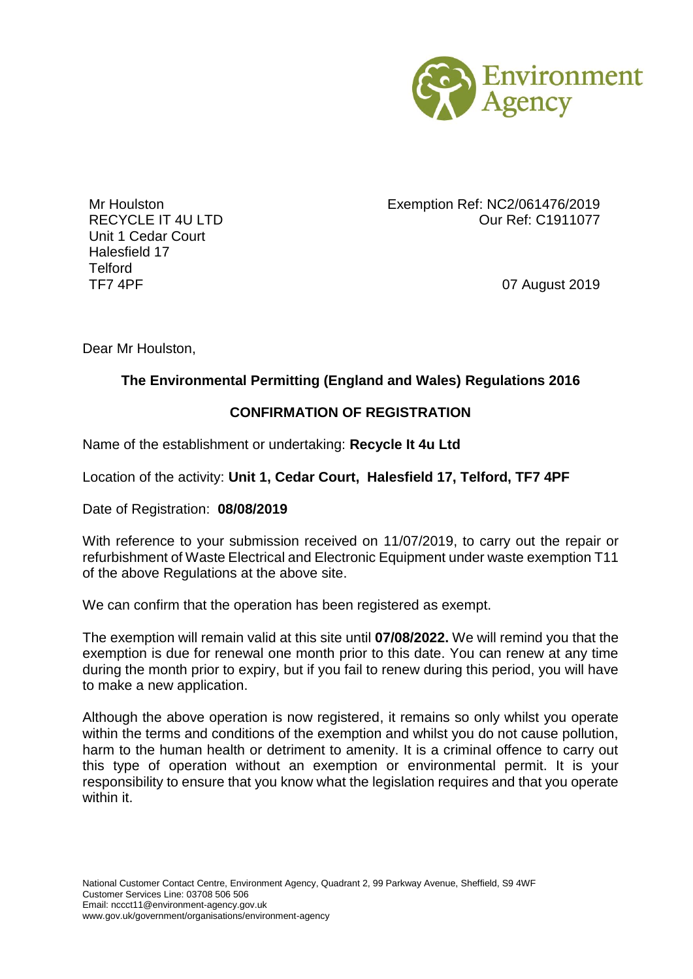

Unit 1 Cedar Court Halesfield 17 Telford TF7 4PF 07 August 2019

Mr Houlston Exemption Ref: NC2/061476/2019 RECYCLE IT 4U LTD **CONTRACT CONTRACT CONTRACT CONTRACT OUT R**ef: C1911077

Dear Mr Houlston,

## **The Environmental Permitting (England and Wales) Regulations 2016**

## **CONFIRMATION OF REGISTRATION**

Name of the establishment or undertaking: **Recycle It 4u Ltd**

Location of the activity: **Unit 1, Cedar Court, Halesfield 17, Telford, TF7 4PF**

Date of Registration: **08/08/2019**

With reference to your submission received on 11/07/2019, to carry out the repair or refurbishment of Waste Electrical and Electronic Equipment under waste exemption T11 of the above Regulations at the above site.

We can confirm that the operation has been registered as exempt.

The exemption will remain valid at this site until **07/08/2022.** We will remind you that the exemption is due for renewal one month prior to this date. You can renew at any time during the month prior to expiry, but if you fail to renew during this period, you will have to make a new application.

Although the above operation is now registered, it remains so only whilst you operate within the terms and conditions of the exemption and whilst you do not cause pollution, harm to the human health or detriment to amenity. It is a criminal offence to carry out this type of operation without an exemption or environmental permit. It is your responsibility to ensure that you know what the legislation requires and that you operate within it.